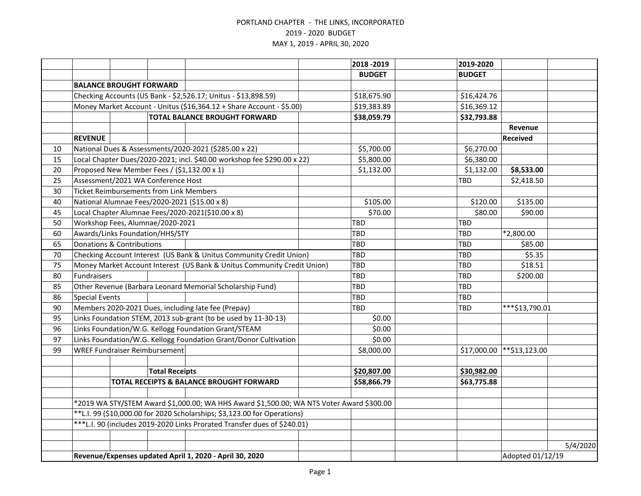|    |                                                         |                                |                                                |                                                                                          |  | 2018 - 2019      | 2019-2020     |                 |          |
|----|---------------------------------------------------------|--------------------------------|------------------------------------------------|------------------------------------------------------------------------------------------|--|------------------|---------------|-----------------|----------|
|    |                                                         |                                |                                                |                                                                                          |  | <b>BUDGET</b>    | <b>BUDGET</b> |                 |          |
|    |                                                         | <b>BALANCE BROUGHT FORWARD</b> |                                                |                                                                                          |  |                  |               |                 |          |
|    |                                                         |                                |                                                | Checking Accounts (US Bank - \$2,526.17; Unitus - \$13,898.59)                           |  | \$18,675.90      | \$16,424.76   |                 |          |
|    |                                                         |                                |                                                | Money Market Account - Unitus (\$16,364.12 + Share Account - \$5.00)                     |  | \$19,383.89      | \$16,369.12   |                 |          |
|    |                                                         |                                |                                                | <b>TOTAL BALANCE BROUGHT FORWARD</b>                                                     |  | \$38,059.79      | \$32,793.88   |                 |          |
|    |                                                         |                                |                                                |                                                                                          |  |                  |               | Revenue         |          |
|    | <b>REVENUE</b>                                          |                                |                                                |                                                                                          |  |                  |               | <b>Received</b> |          |
| 10 |                                                         |                                |                                                | National Dues & Assessments/2020-2021 (\$285.00 x 22)                                    |  | \$5,700.00       | \$6,270.00    |                 |          |
| 15 |                                                         |                                |                                                | Local Chapter Dues/2020-2021; incl. \$40.00 workshop fee \$290.00 x 22)                  |  | \$5,800.00       | \$6,380.00    |                 |          |
| 20 |                                                         |                                |                                                | Proposed New Member Fees / (\$1,132.00 x 1)                                              |  | \$1,132.00       | \$1,132.00    | \$8,533.00      |          |
| 25 |                                                         |                                | Assessment/2021 WA Conference Host             |                                                                                          |  |                  | TBD           | \$2,418.50      |          |
| 30 |                                                         |                                | <b>Ticket Reimbursements from Link Members</b> |                                                                                          |  |                  |               |                 |          |
| 40 |                                                         |                                |                                                | National Alumnae Fees/2020-2021 (\$15.00 x 8)                                            |  | \$105.00         | \$120.00      | \$135.00        |          |
| 45 |                                                         |                                |                                                | Local Chapter Alumnae Fees/2020-2021(\$10.00 x 8)                                        |  | \$70.00          | \$80.00       | \$90.00         |          |
| 50 |                                                         |                                | Workshop Fees, Alumnae/2020-2021               |                                                                                          |  | TBD              | TBD           |                 |          |
| 60 |                                                         |                                | Awards/Links Foundation/HHS/STY                |                                                                                          |  | <b>TBD</b>       | TBD           | *2,800.00       |          |
| 65 |                                                         | Donations & Contributions      |                                                |                                                                                          |  | TBD              | <b>TBD</b>    | \$85.00         |          |
| 70 |                                                         |                                |                                                | Checking Account Interest (US Bank & Unitus Community Credit Union)                      |  | TBD              | <b>TBD</b>    | \$5.35          |          |
| 75 |                                                         |                                |                                                | Money Market Account Interest (US Bank & Unitus Community Credit Union)                  |  | TBD              | <b>TBD</b>    | \$18.51         |          |
| 80 | Fundraisers                                             |                                |                                                |                                                                                          |  | TBD              | <b>TBD</b>    | \$200.00        |          |
| 85 |                                                         |                                |                                                | Other Revenue (Barbara Leonard Memorial Scholarship Fund)                                |  | TBD              | <b>TBD</b>    |                 |          |
| 86 | <b>Special Events</b>                                   |                                |                                                |                                                                                          |  | TBD              | TBD           |                 |          |
| 90 |                                                         |                                |                                                | Members 2020-2021 Dues, including late fee (Prepay)                                      |  | TBD              | <b>TBD</b>    | ***\$13,790.01  |          |
| 95 |                                                         |                                |                                                | Links Foundation STEM, 2013 sub-grant (to be used by 11-30-13)                           |  | \$0.00           |               |                 |          |
| 96 |                                                         |                                |                                                | Links Foundation/W.G. Kellogg Foundation Grant/STEAM                                     |  | \$0.00           |               |                 |          |
| 97 |                                                         |                                |                                                | Links Foundation/W.G. Kellogg Foundation Grant/Donor Cultivation                         |  | \$0.00           |               |                 |          |
| 99 |                                                         |                                | <b>WREF Fundraiser Reimbursement</b>           |                                                                                          |  | \$8,000.00       | \$17,000.00   | **\$13,123.00   |          |
|    |                                                         |                                |                                                |                                                                                          |  |                  |               |                 |          |
|    |                                                         |                                | <b>Total Receipts</b>                          |                                                                                          |  | \$20,807.00      | \$30,982.00   |                 |          |
|    |                                                         |                                |                                                | TOTAL RECEIPTS & BALANCE BROUGHT FORWARD                                                 |  | \$58,866.79      | \$63,775.88   |                 |          |
|    |                                                         |                                |                                                |                                                                                          |  |                  |               |                 |          |
|    |                                                         |                                |                                                | *2019 WA STY/STEM Award \$1,000.00; WA HHS Award \$1,500.00; WA NTS Voter Award \$300.00 |  |                  |               |                 |          |
|    |                                                         |                                |                                                | **L.I. 99 (\$10,000.00 for 2020 Scholarships; \$3,123.00 for Operations)                 |  |                  |               |                 |          |
|    |                                                         |                                |                                                | ***L.I. 90 (includes 2019-2020 Links Prorated Transfer dues of \$240.01)                 |  |                  |               |                 |          |
|    |                                                         |                                |                                                |                                                                                          |  |                  |               |                 |          |
|    |                                                         |                                |                                                |                                                                                          |  |                  |               |                 | 5/4/2020 |
|    | Revenue/Expenses updated April 1, 2020 - April 30, 2020 |                                |                                                |                                                                                          |  | Adopted 01/12/19 |               |                 |          |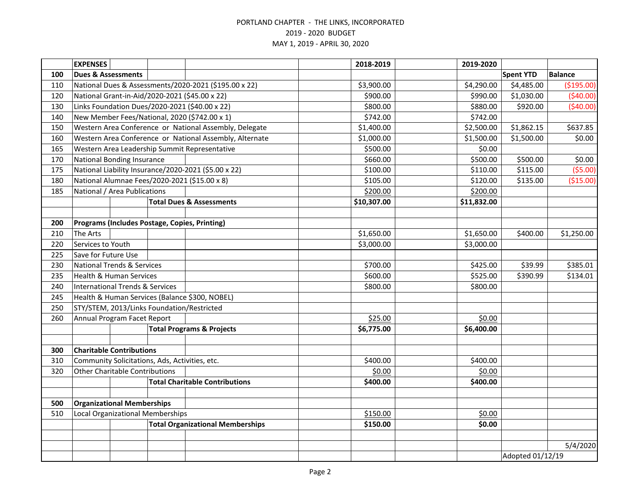|     | <b>EXPENSES</b>                                      |  |                                                         | 2018-2019   | 2019-2020        |                  |                |
|-----|------------------------------------------------------|--|---------------------------------------------------------|-------------|------------------|------------------|----------------|
| 100 | <b>Dues &amp; Assessments</b>                        |  |                                                         |             |                  | <b>Spent YTD</b> | <b>Balance</b> |
| 110 |                                                      |  | National Dues & Assessments/2020-2021 (\$195.00 x 22)   | \$3,900.00  | \$4,290.00       | \$4,485.00       | ( \$195.00)    |
| 120 | National Grant-in-Aid/2020-2021 (\$45.00 x 22)       |  |                                                         | \$900.00    | \$990.00         | \$1,030.00       | (540.00)       |
| 130 | Links Foundation Dues/2020-2021 (\$40.00 x 22)       |  |                                                         | \$800.00    | \$880.00         | \$920.00         | (540.00)       |
| 140 | New Member Fees/National, 2020 (\$742.00 x 1)        |  |                                                         | \$742.00    | \$742.00         |                  |                |
| 150 |                                                      |  | Western Area Conference or National Assembly, Delegate  | \$1,400.00  | \$2,500.00       | \$1,862.15       | \$637.85       |
| 160 |                                                      |  | Western Area Conference or National Assembly, Alternate | \$1,000.00  | \$1,500.00       | \$1,500.00       | \$0.00         |
| 165 | Western Area Leadership Summit Representative        |  |                                                         | \$500.00    | \$0.00           |                  |                |
| 170 | National Bonding Insurance                           |  |                                                         | \$660.00    | \$500.00         | \$500.00         | \$0.00         |
| 175 | National Liability Insurance/2020-2021 (\$5.00 x 22) |  |                                                         | \$100.00    | \$110.00         | \$115.00         | (55.00)        |
| 180 | National Alumnae Fees/2020-2021 (\$15.00 x 8)        |  |                                                         | \$105.00    | \$120.00         | \$135.00         | (\$15.00)      |
| 185 | National / Area Publications                         |  |                                                         | \$200.00    | \$200.00         |                  |                |
|     |                                                      |  | <b>Total Dues &amp; Assessments</b>                     | \$10,307.00 | \$11,832.00      |                  |                |
|     |                                                      |  |                                                         |             |                  |                  |                |
| 200 | Programs (Includes Postage, Copies, Printing)        |  |                                                         |             |                  |                  |                |
| 210 | The Arts                                             |  |                                                         | \$1,650.00  | \$1,650.00       | \$400.00         | \$1,250.00     |
| 220 | Services to Youth                                    |  |                                                         | \$3,000.00  | \$3,000.00       |                  |                |
| 225 | Save for Future Use                                  |  |                                                         |             |                  |                  |                |
| 230 | <b>National Trends &amp; Services</b>                |  |                                                         | \$700.00    | \$425.00         | \$39.99          | \$385.01       |
| 235 | <b>Health &amp; Human Services</b>                   |  |                                                         | \$600.00    | \$525.00         | \$390.99         | \$134.01       |
| 240 | <b>International Trends &amp; Services</b>           |  |                                                         | \$800.00    | \$800.00         |                  |                |
| 245 | Health & Human Services (Balance \$300, NOBEL)       |  |                                                         |             |                  |                  |                |
| 250 | STY/STEM, 2013/Links Foundation/Restricted           |  |                                                         |             |                  |                  |                |
| 260 | Annual Program Facet Report                          |  |                                                         | \$25.00     | \$0.00           |                  |                |
|     |                                                      |  | <b>Total Programs &amp; Projects</b>                    | \$6,775.00  | \$6,400.00       |                  |                |
|     |                                                      |  |                                                         |             |                  |                  |                |
| 300 | <b>Charitable Contributions</b>                      |  |                                                         |             |                  |                  |                |
| 310 | Community Solicitations, Ads, Activities, etc.       |  |                                                         | \$400.00    | \$400.00         |                  |                |
| 320 | Other Charitable Contributions                       |  |                                                         | \$0.00      | \$0.00           |                  |                |
|     |                                                      |  | <b>Total Charitable Contributions</b>                   | \$400.00    | \$400.00         |                  |                |
|     |                                                      |  |                                                         |             |                  |                  |                |
| 500 | <b>Organizational Memberships</b>                    |  |                                                         |             |                  |                  |                |
| 510 | Local Organizational Memberships                     |  |                                                         | \$150.00    | \$0.00           |                  |                |
|     |                                                      |  | <b>Total Organizational Memberships</b>                 | \$150.00    | \$0.00           |                  |                |
|     |                                                      |  |                                                         |             |                  |                  |                |
|     |                                                      |  |                                                         |             |                  |                  | 5/4/2020       |
|     |                                                      |  |                                                         |             | Adopted 01/12/19 |                  |                |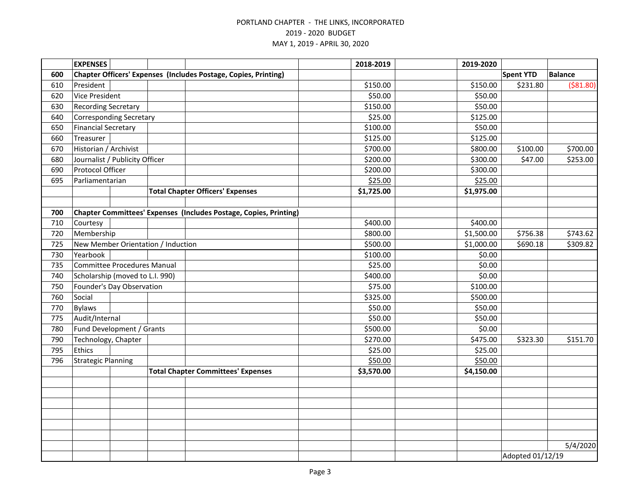|     | <b>EXPENSES</b>                    |                                                                   | 2018-2019  | 2019-2020  |                  |                |
|-----|------------------------------------|-------------------------------------------------------------------|------------|------------|------------------|----------------|
| 600 |                                    | Chapter Officers' Expenses (Includes Postage, Copies, Printing)   |            |            | <b>Spent YTD</b> | <b>Balance</b> |
| 610 | President                          |                                                                   | \$150.00   | \$150.00   | \$231.80         | ( \$81.80)     |
| 620 | <b>Vice President</b>              |                                                                   | \$50.00    | \$50.00    |                  |                |
| 630 | <b>Recording Secretary</b>         |                                                                   | \$150.00   | \$50.00    |                  |                |
| 640 | <b>Corresponding Secretary</b>     |                                                                   | \$25.00    | \$125.00   |                  |                |
| 650 | <b>Financial Secretary</b>         |                                                                   | \$100.00   | \$50.00    |                  |                |
| 660 | Treasurer                          |                                                                   | \$125.00   | \$125.00   |                  |                |
| 670 | Historian / Archivist              |                                                                   | \$700.00   | \$800.00   | \$100.00         | \$700.00       |
| 680 | Journalist / Publicity Officer     |                                                                   | \$200.00   | \$300.00   | \$47.00          | \$253.00       |
| 690 | Protocol Officer                   |                                                                   | \$200.00   | \$300.00   |                  |                |
| 695 | Parliamentarian                    |                                                                   | \$25.00    | \$25.00    |                  |                |
|     |                                    | <b>Total Chapter Officers' Expenses</b>                           | \$1,725.00 | \$1,975.00 |                  |                |
|     |                                    |                                                                   |            |            |                  |                |
| 700 |                                    | Chapter Committees' Expenses (Includes Postage, Copies, Printing) |            |            |                  |                |
| 710 | Courtesy                           |                                                                   | \$400.00   | \$400.00   |                  |                |
| 720 | Membership                         |                                                                   | \$800.00   | \$1,500.00 | \$756.38         | \$743.62       |
| 725 | New Member Orientation / Induction |                                                                   | \$500.00   | \$1,000.00 | \$690.18         | \$309.82       |
| 730 | Yearbook                           |                                                                   | \$100.00   | \$0.00     |                  |                |
| 735 | <b>Committee Procedures Manual</b> |                                                                   | \$25.00    | \$0.00     |                  |                |
| 740 | Scholarship (moved to L.I. 990)    |                                                                   | \$400.00   | \$0.00     |                  |                |
| 750 | Founder's Day Observation          |                                                                   | \$75.00    | \$100.00   |                  |                |
| 760 | Social                             |                                                                   | \$325.00   | \$500.00   |                  |                |
| 770 | <b>Bylaws</b>                      |                                                                   | \$50.00    | \$50.00    |                  |                |
| 775 | Audit/Internal                     |                                                                   | \$50.00    | \$50.00    |                  |                |
| 780 | Fund Development / Grants          |                                                                   | \$500.00   | \$0.00     |                  |                |
| 790 | Technology, Chapter                |                                                                   | \$270.00   | \$475.00   | \$323.30         | \$151.70       |
| 795 | Ethics                             |                                                                   | \$25.00    | \$25.00    |                  |                |
| 796 | <b>Strategic Planning</b>          |                                                                   | \$50.00    | \$50.00    |                  |                |
|     |                                    | <b>Total Chapter Committees' Expenses</b>                         | \$3,570.00 | \$4,150.00 |                  |                |
|     |                                    |                                                                   |            |            |                  |                |
|     |                                    |                                                                   |            |            |                  |                |
|     |                                    |                                                                   |            |            |                  |                |
|     |                                    |                                                                   |            |            |                  |                |
|     |                                    |                                                                   |            |            |                  |                |
|     |                                    |                                                                   |            |            |                  |                |
|     |                                    |                                                                   |            |            |                  | 5/4/2020       |
|     |                                    |                                                                   |            |            | Adopted 01/12/19 |                |